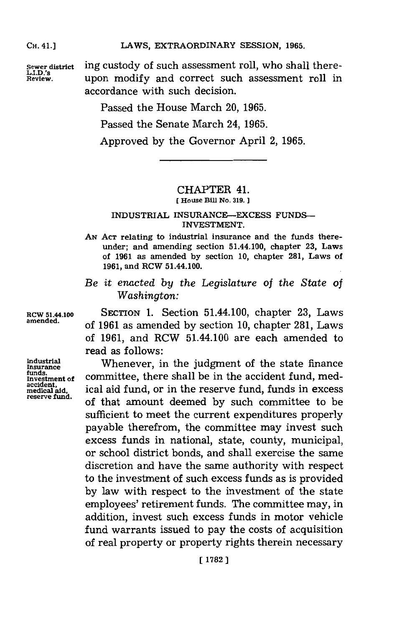## LAWS, EXTRAORDINARY SESSION, 1965.

**CH.** 41.]

Sewer district<br>L.I.D.'s<br>Review.

ing custody of such assessment roll, who shall thereupon modify and correct such assessment roll in accordance with such decision.

Passed the House March 20, **1965.**

Passed the Senate March 24, **1965.**

Approved **by** the Governor April 2, **1965.**

## CHAPTER 41.

**EHouse Bill No. 319.**

## **INDUSTRIAL INSURANCE-EXCESS FUNDS-INVESTMENT.**

- **AN ACT relating to industrial insurance and the funds thereunder; and amending section 51.44.100, chapter 23, Laws of 1961 as amended by section 10, chapter 281, Laws of 1961, and RCW 51.44.100.**
- *Be it enacted by the Legislature of the State of Washington:*

*funds.* Investment of<br>accident,<br>medical aid,

RCW 51.44.100 **SEcTION 1.** Section 51.44.100, chapter **23,** Laws **amended,** of **1961** as amended **by** section **10,** chapter **281,** Laws of **1961,** and RCW 51.44.100 are each amended to read as follows:

Industrial **Whenever**, in the judgment of the state finance committee, there shall be in the accident fund, med**medical aid,** ical aid fund, or in the reserve fund, funds in excess **reserve fund.** of that amount deemed **by** such committee to be sufficient to meet the current expenditures properly payable therefrom, the committee may invest such excess funds in national, state, county, municipal, or school district bonds, and shall exercise the same discretion and have the same authority with respect to the investment of such excess funds as is provided **by** law with respect to the investment of the state employees' retirement funds. The committee may, in addition, invest such excess funds in motor vehicle fund warrants issued to pay the costs of acquisition of real property or property rights therein necessary